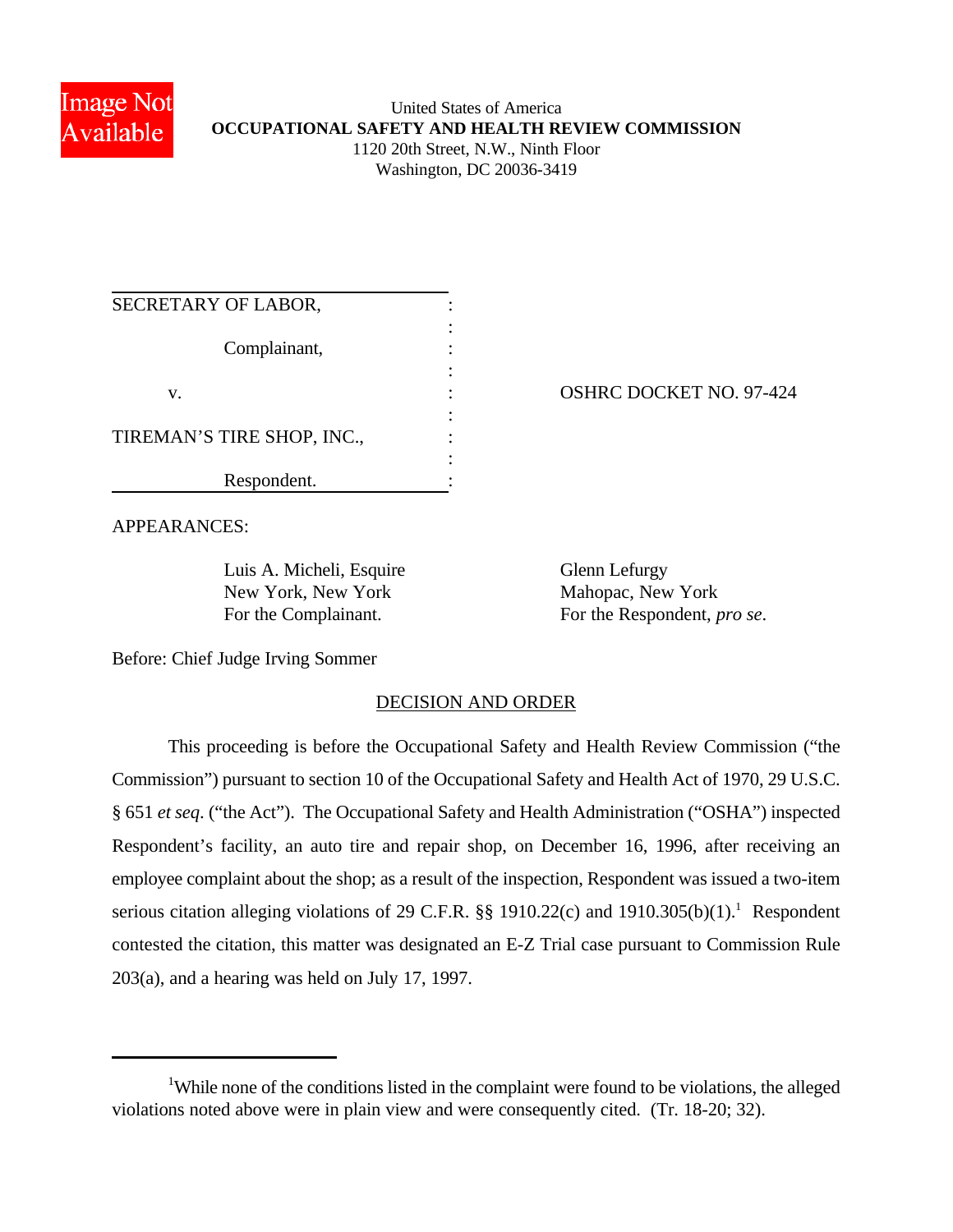

# United States of America **OCCUPATIONAL SAFETY AND HEALTH REVIEW COMMISSION** 1120 20th Street, N.W., Ninth Floor Washington, DC 20036-3419

| SECRETARY OF LABOR,        |  |
|----------------------------|--|
| Complainant,               |  |
| V.                         |  |
| TIREMAN'S TIRE SHOP, INC., |  |
| Respondent.                |  |

OSHRC DOCKET NO. 97-424

APPEARANCES:

Luis A. Micheli, Esquire Glenn Lefurgy New York, New York Mahopac, New York

For the Complainant. For the Respondent, *pro se*.

Before: Chief Judge Irving Sommer

# DECISION AND ORDER

This proceeding is before the Occupational Safety and Health Review Commission ("the Commission") pursuant to section 10 of the Occupational Safety and Health Act of 1970, 29 U.S.C. § 651 *et seq*. ("the Act"). The Occupational Safety and Health Administration ("OSHA") inspected Respondent's facility, an auto tire and repair shop, on December 16, 1996, after receiving an employee complaint about the shop; as a result of the inspection, Respondent was issued a two-item serious citation alleging violations of 29 C.F.R.  $\S$  1910.22(c) and 1910.305(b)(1).<sup>1</sup> Respondent contested the citation, this matter was designated an E-Z Trial case pursuant to Commission Rule 203(a), and a hearing was held on July 17, 1997.

<sup>&</sup>lt;sup>1</sup>While none of the conditions listed in the complaint were found to be violations, the alleged violations noted above were in plain view and were consequently cited. (Tr. 18-20; 32).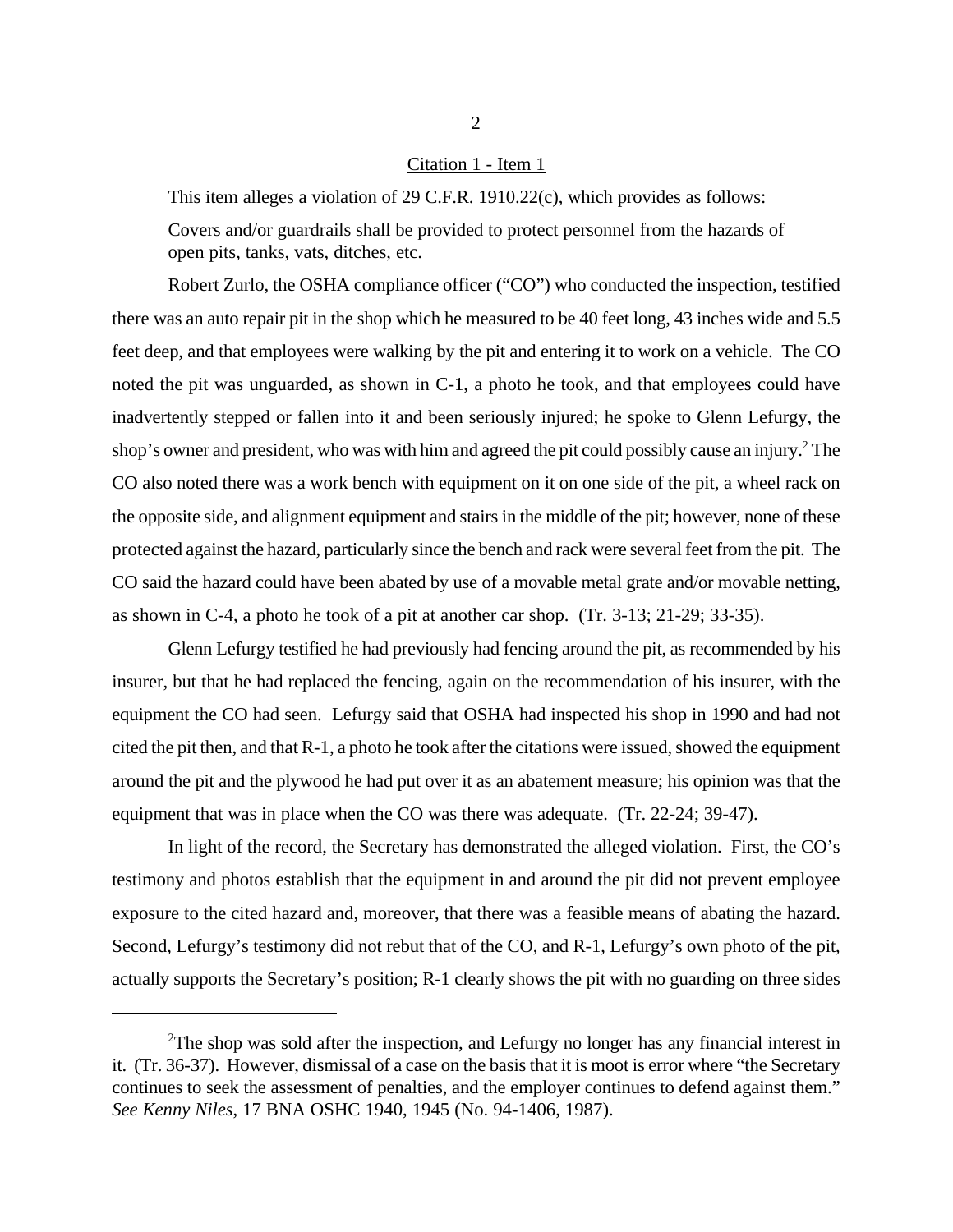#### Citation 1 - Item 1

This item alleges a violation of 29 C.F.R. 1910.22(c), which provides as follows: Covers and/or guardrails shall be provided to protect personnel from the hazards of open pits, tanks, vats, ditches, etc.

Robert Zurlo, the OSHA compliance officer ("CO") who conducted the inspection, testified there was an auto repair pit in the shop which he measured to be 40 feet long, 43 inches wide and 5.5 feet deep, and that employees were walking by the pit and entering it to work on a vehicle. The CO noted the pit was unguarded, as shown in C-1, a photo he took, and that employees could have inadvertently stepped or fallen into it and been seriously injured; he spoke to Glenn Lefurgy, the shop's owner and president, who was with him and agreed the pit could possibly cause an injury.<sup>2</sup> The CO also noted there was a work bench with equipment on it on one side of the pit, a wheel rack on the opposite side, and alignment equipment and stairs in the middle of the pit; however, none of these protected against the hazard, particularly since the bench and rack were several feet from the pit. The CO said the hazard could have been abated by use of a movable metal grate and/or movable netting, as shown in C-4, a photo he took of a pit at another car shop. (Tr. 3-13; 21-29; 33-35).

Glenn Lefurgy testified he had previously had fencing around the pit, as recommended by his insurer, but that he had replaced the fencing, again on the recommendation of his insurer, with the equipment the CO had seen. Lefurgy said that OSHA had inspected his shop in 1990 and had not cited the pit then, and that R-1, a photo he took after the citations were issued, showed the equipment around the pit and the plywood he had put over it as an abatement measure; his opinion was that the equipment that was in place when the CO was there was adequate. (Tr. 22-24; 39-47).

In light of the record, the Secretary has demonstrated the alleged violation. First, the CO's testimony and photos establish that the equipment in and around the pit did not prevent employee exposure to the cited hazard and, moreover, that there was a feasible means of abating the hazard. Second, Lefurgy's testimony did not rebut that of the CO, and R-1, Lefurgy's own photo of the pit, actually supports the Secretary's position; R-1 clearly shows the pit with no guarding on three sides

 $2$ The shop was sold after the inspection, and Lefurgy no longer has any financial interest in it. (Tr. 36-37). However, dismissal of a case on the basis that it is moot is error where "the Secretary continues to seek the assessment of penalties, and the employer continues to defend against them." *See Kenny Niles*, 17 BNA OSHC 1940, 1945 (No. 94-1406, 1987).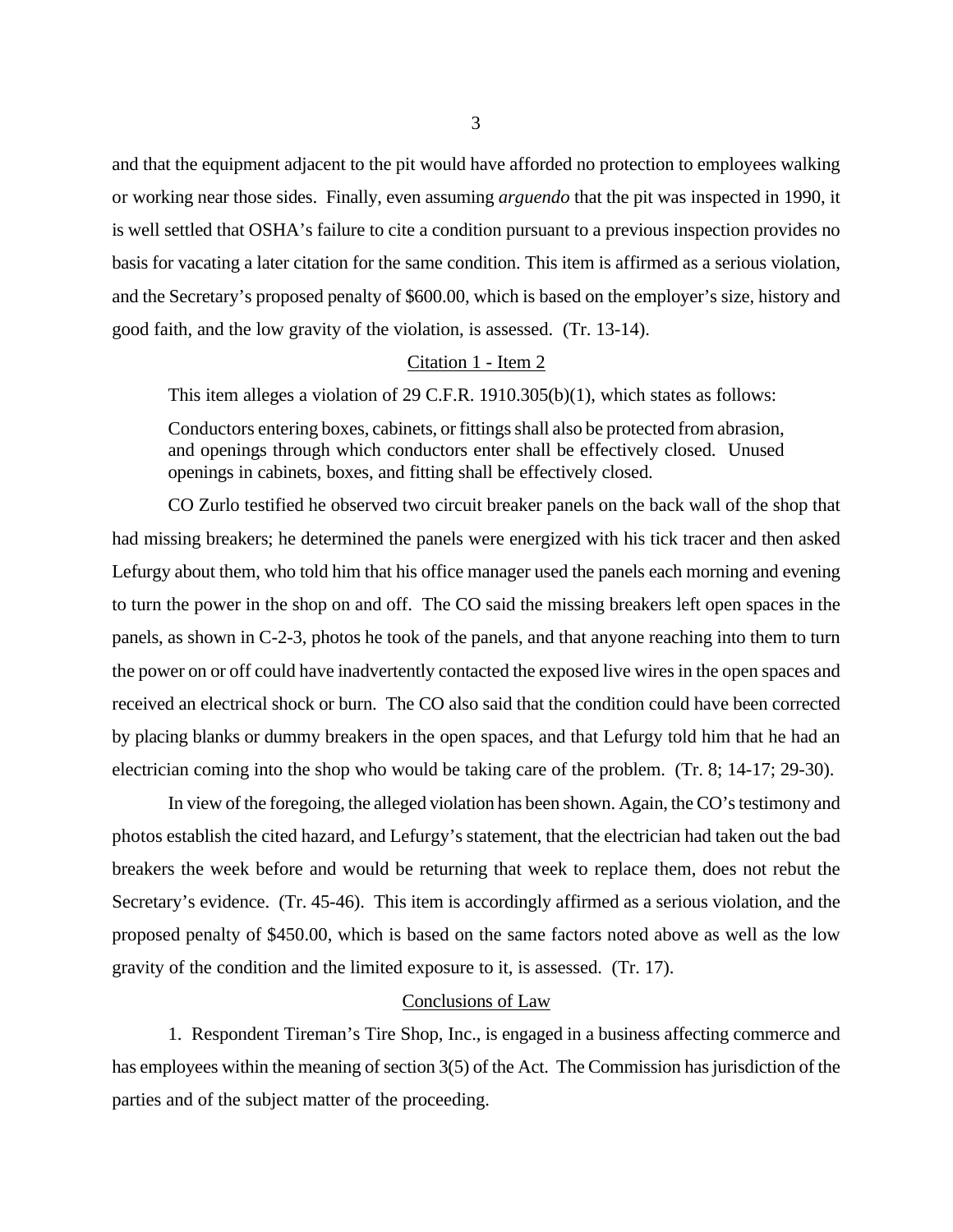and that the equipment adjacent to the pit would have afforded no protection to employees walking or working near those sides. Finally, even assuming *arguendo* that the pit was inspected in 1990, it is well settled that OSHA's failure to cite a condition pursuant to a previous inspection provides no basis for vacating a later citation for the same condition. This item is affirmed as a serious violation, and the Secretary's proposed penalty of \$600.00, which is based on the employer's size, history and good faith, and the low gravity of the violation, is assessed. (Tr. 13-14).

#### Citation 1 - Item 2

This item alleges a violation of 29 C.F.R. 1910.305(b)(1), which states as follows:

Conductors entering boxes, cabinets, or fittings shall also be protected from abrasion, and openings through which conductors enter shall be effectively closed. Unused openings in cabinets, boxes, and fitting shall be effectively closed.

CO Zurlo testified he observed two circuit breaker panels on the back wall of the shop that had missing breakers; he determined the panels were energized with his tick tracer and then asked Lefurgy about them, who told him that his office manager used the panels each morning and evening to turn the power in the shop on and off. The CO said the missing breakers left open spaces in the panels, as shown in C-2-3, photos he took of the panels, and that anyone reaching into them to turn the power on or off could have inadvertently contacted the exposed live wires in the open spaces and received an electrical shock or burn. The CO also said that the condition could have been corrected by placing blanks or dummy breakers in the open spaces, and that Lefurgy told him that he had an electrician coming into the shop who would be taking care of the problem. (Tr. 8; 14-17; 29-30).

In view of the foregoing, the alleged violation has been shown. Again, the CO's testimony and photos establish the cited hazard, and Lefurgy's statement, that the electrician had taken out the bad breakers the week before and would be returning that week to replace them, does not rebut the Secretary's evidence. (Tr. 45-46). This item is accordingly affirmed as a serious violation, and the proposed penalty of \$450.00, which is based on the same factors noted above as well as the low gravity of the condition and the limited exposure to it, is assessed. (Tr. 17).

### Conclusions of Law

1. Respondent Tireman's Tire Shop, Inc., is engaged in a business affecting commerce and has employees within the meaning of section 3(5) of the Act. The Commission has jurisdiction of the parties and of the subject matter of the proceeding.